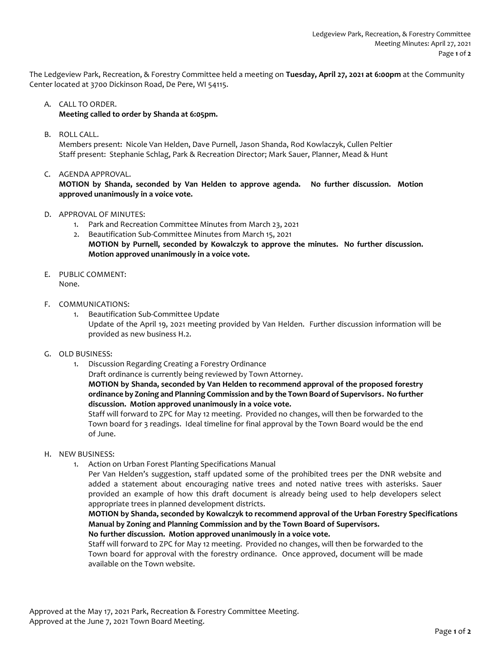The Ledgeview Park, Recreation, & Forestry Committee held a meeting on **Tuesday, April 27, 2021 at 6:00pm** at the Community Center located at 3700 Dickinson Road, De Pere, WI 54115.

## A. CALL TO ORDER.

**Meeting called to order by Shanda at 6:05pm.** 

B. ROLL CALL.

Members present: Nicole Van Helden, Dave Purnell, Jason Shanda, Rod Kowlaczyk, Cullen Peltier Staff present: Stephanie Schlag, Park & Recreation Director; Mark Sauer, Planner, Mead & Hunt

C. AGENDA APPROVAL.

**MOTION by Shanda, seconded by Van Helden to approve agenda. No further discussion. Motion approved unanimously in a voice vote.** 

- D. APPROVAL OF MINUTES:
	- 1. Park and Recreation Committee Minutes from March 23, 2021
	- 2. Beautification Sub-Committee Minutes from March 15, 2021 **MOTION by Purnell, seconded by Kowalczyk to approve the minutes. No further discussion. Motion approved unanimously in a voice vote.**
- E. PUBLIC COMMENT: None.
- F. COMMUNICATIONS:
	- 1. Beautification Sub-Committee Update Update of the April 19, 2021 meeting provided by Van Helden. Further discussion information will be provided as new business H.2.
- G. OLD BUSINESS:
	- 1. Discussion Regarding Creating a Forestry Ordinance
		- Draft ordinance is currently being reviewed by Town Attorney.

**MOTION by Shanda, seconded by Van Helden to recommend approval of the proposed forestry ordinance by Zoning and Planning Commission and by the Town Board of Supervisors. No further discussion. Motion approved unanimously in a voice vote.**

Staff will forward to ZPC for May 12 meeting. Provided no changes, will then be forwarded to the Town board for 3 readings. Ideal timeline for final approval by the Town Board would be the end of June.

- H. NEW BUSINESS:
	- 1. Action on Urban Forest Planting Specifications Manual

Per Van Helden's suggestion, staff updated some of the prohibited trees per the DNR website and added a statement about encouraging native trees and noted native trees with asterisks. Sauer provided an example of how this draft document is already being used to help developers select appropriate trees in planned development districts.

**MOTION by Shanda, seconded by Kowalczyk to recommend approval of the Urban Forestry Specifications Manual by Zoning and Planning Commission and by the Town Board of Supervisors.**

**No further discussion. Motion approved unanimously in a voice vote.**

Staff will forward to ZPC for May 12 meeting. Provided no changes, will then be forwarded to the Town board for approval with the forestry ordinance. Once approved, document will be made available on the Town website.